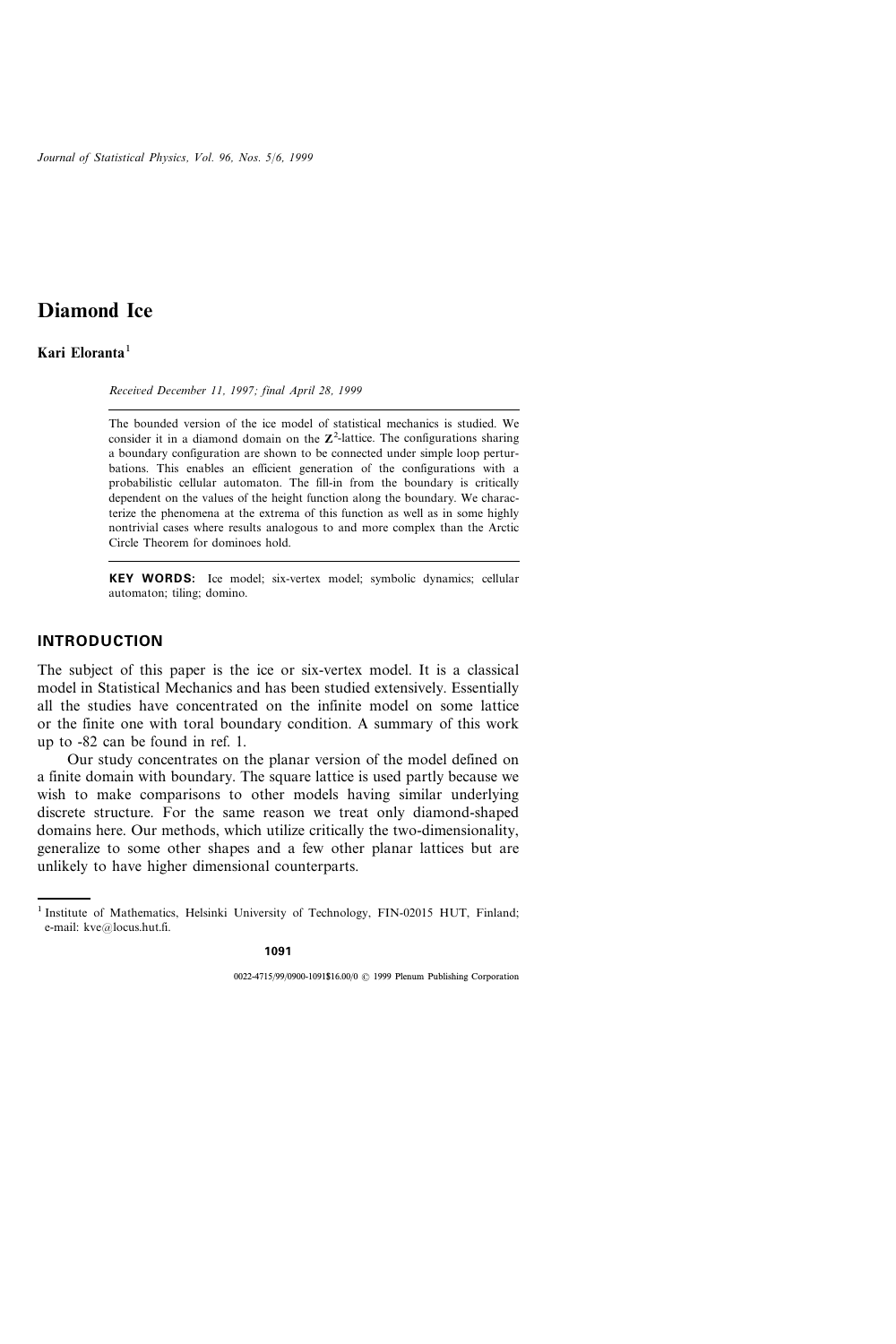# Kari Eloranta $<sup>1</sup>$ </sup>

Received December 11, 1997; final April 28, 1999

The bounded version of the ice model of statistical mechanics is studied. We consider it in a diamond domain on the  $\mathbb{Z}^2$ -lattice. The configurations sharing a boundary configuration are shown to be connected under simple loop perturbations. This enables an efficient generation of the configurations with a probabilistic cellular automaton. The fill-in from the boundary is critically dependent on the values of the height function along the boundary. We characterize the phenomena at the extrema of this function as well as in some highly nontrivial cases where results analogous to and more complex than the Arctic Circle Theorem for dominoes hold.

KEY WORDS: Ice model; six-vertex model; symbolic dynamics; cellular automaton; tiling; domino.

### INTRODUCTION

The subject of this paper is the ice or six-vertex model. It is a classical model in Statistical Mechanics and has been studied extensively. Essentially all the studies have concentrated on the infinite model on some lattice or the finite one with toral boundary condition. A summary of this work up to -82 can be found in ref. 1.

Our study concentrates on the planar version of the model defined on a finite domain with boundary. The square lattice is used partly because we wish to make comparisons to other models having similar underlying discrete structure. For the same reason we treat only diamond-shaped domains here. Our methods, which utilize critically the two-dimensionality, generalize to some other shapes and a few other planar lattices but are unlikely to have higher dimensional counterparts.

<sup>&</sup>lt;sup>1</sup> Institute of Mathematics, Helsinki University of Technology, FIN-02015 HUT, Finland; e-mail: kve@locus.hut.fi.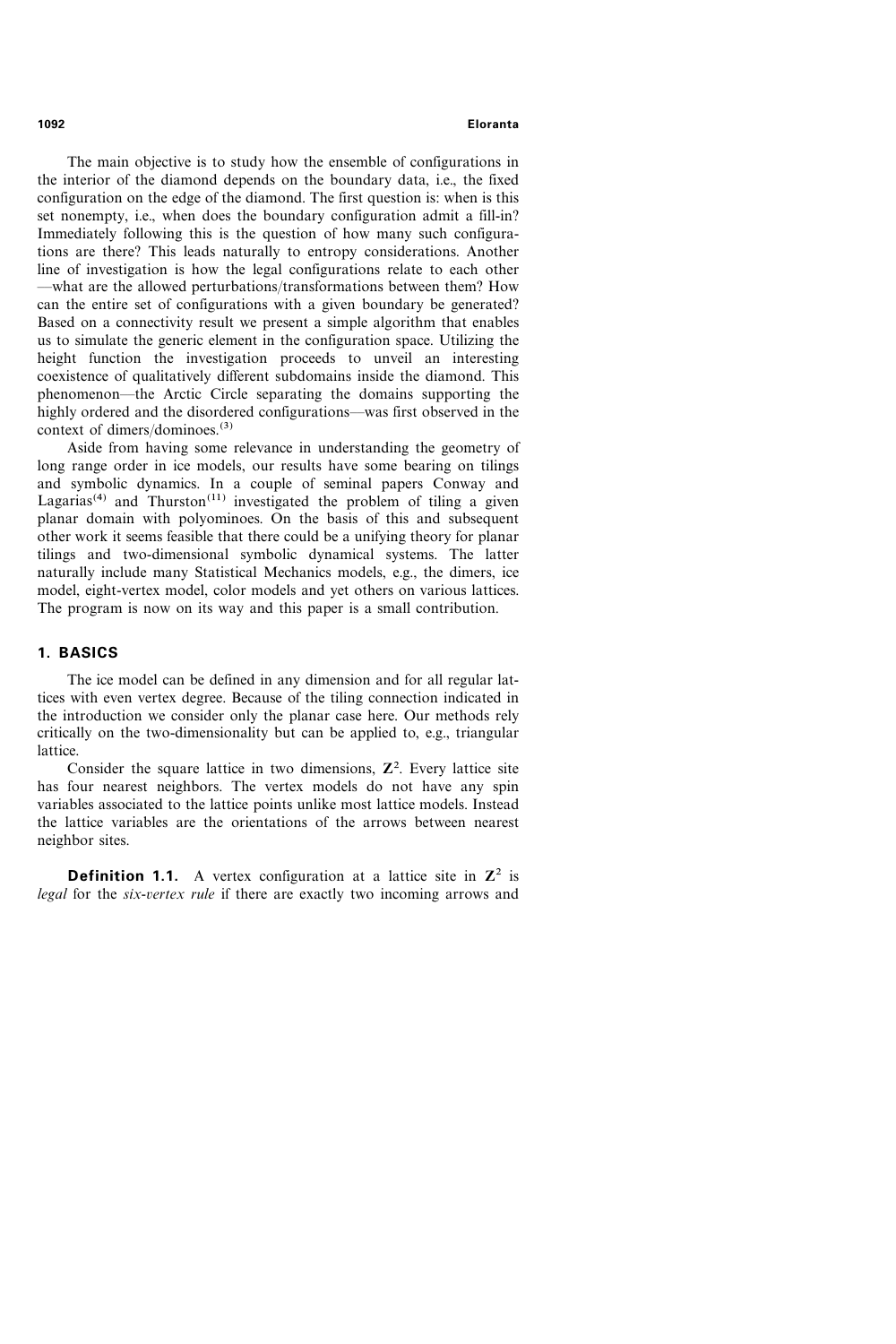The main objective is to study how the ensemble of configurations in the interior of the diamond depends on the boundary data, i.e., the fixed configuration on the edge of the diamond. The first question is: when is this set nonempty, i.e., when does the boundary configuration admit a fill-in? Immediately following this is the question of how many such configurations are there? This leads naturally to entropy considerations. Another line of investigation is how the legal configurations relate to each other -what are the allowed perturbations/transformations between them? How can the entire set of configurations with a given boundary be generated? Based on a connectivity result we present a simple algorithm that enables us to simulate the generic element in the configuration space. Utilizing the height function the investigation proceeds to unveil an interesting coexistence of qualitatively different subdomains inside the diamond. This phenomenon—the Arctic Circle separating the domains supporting the highly ordered and the disordered configurations—was first observed in the context of dimers/dominoes. $(3)$ 

Aside from having some relevance in understanding the geometry of long range order in ice models, our results have some bearing on tilings and symbolic dynamics. In a couple of seminal papers Conway and Lagarias<sup>(4)</sup> and Thurston<sup>(11)</sup> investigated the problem of tiling a given planar domain with polyominoes. On the basis of this and subsequent other work it seems feasible that there could be a unifying theory for planar tilings and two-dimensional symbolic dynamical systems. The latter naturally include many Statistical Mechanics models, e.g., the dimers, ice model, eight-vertex model, color models and yet others on various lattices. The program is now on its way and this paper is a small contribution.

# 1. BASICS

The ice model can be defined in any dimension and for all regular lattices with even vertex degree. Because of the tiling connection indicated in the introduction we consider only the planar case here. Our methods rely critically on the two-dimensionality but can be applied to, e.g., triangular lattice.

Consider the square lattice in two dimensions,  $\mathbb{Z}^2$ . Every lattice site has four nearest neighbors. The vertex models do not have any spin variables associated to the lattice points unlike most lattice models. Instead the lattice variables are the orientations of the arrows between nearest neighbor sites.

**Definition 1.1.** A vertex configuration at a lattice site in  $\mathbb{Z}^2$  is legal for the six-vertex rule if there are exactly two incoming arrows and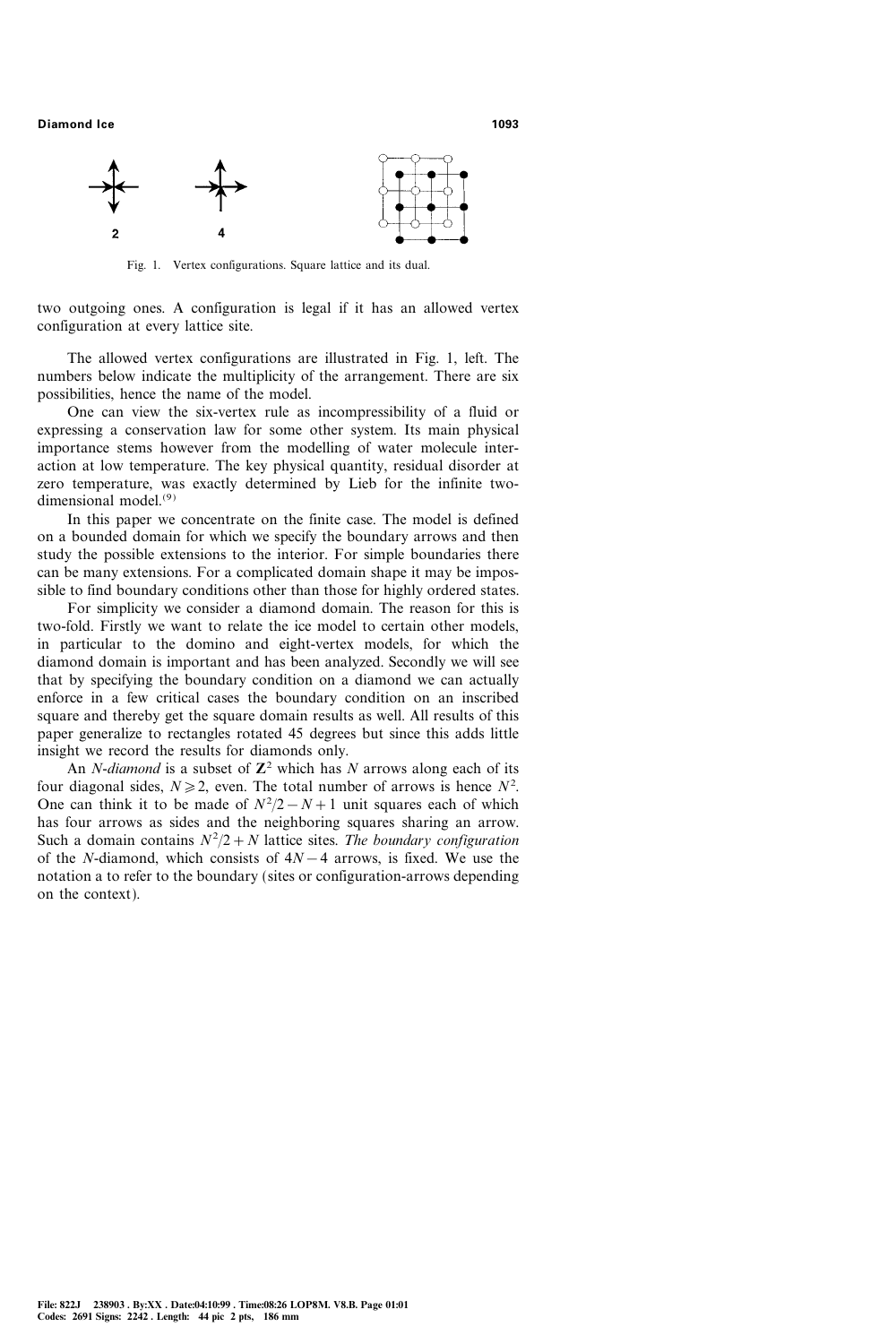

Fig. 1. Vertex configurations. Square lattice and its dual.

two outgoing ones. A configuration is legal if it has an allowed vertex configuration at every lattice site.

The allowed vertex configurations are illustrated in Fig. 1, left. The numbers below indicate the multiplicity of the arrangement. There are six possibilities, hence the name of the model.

One can view the six-vertex rule as incompressibility of a fluid or expressing a conservation law for some other system. Its main physical importance stems however from the modelling of water molecule interaction at low temperature. The key physical quantity, residual disorder at zero temperature, was exactly determined by Lieb for the infinite twodimensional model.(9)

In this paper we concentrate on the finite case. The model is defined on a bounded domain for which we specify the boundary arrows and then study the possible extensions to the interior. For simple boundaries there can be many extensions. For a complicated domain shape it may be impossible to find boundary conditions other than those for highly ordered states.

For simplicity we consider a diamond domain. The reason for this is two-fold. Firstly we want to relate the ice model to certain other models, in particular to the domino and eight-vertex models, for which the diamond domain is important and has been analyzed. Secondly we will see that by specifying the boundary condition on a diamond we can actually enforce in a few critical cases the boundary condition on an inscribed square and thereby get the square domain results as well. All results of this paper generalize to rectangles rotated 45 degrees but since this adds little insight we record the results for diamonds only.

An *N*-diamond is a subset of  $\mathbb{Z}^2$  which has N arrows along each of its four diagonal sides,  $N \ge 2$ , even. The total number of arrows is hence  $N^2$ . One can think it to be made of  $N^2/2 - N + 1$  unit squares each of which has four arrows as sides and the neighboring squares sharing an arrow. Such a domain contains  $N^2/2 + N$  lattice sites. The boundary configuration of the N-diamond, which consists of  $4N-4$  arrows, is fixed. We use the notation a to refer to the boundary (sites or configuration-arrows depending on the context).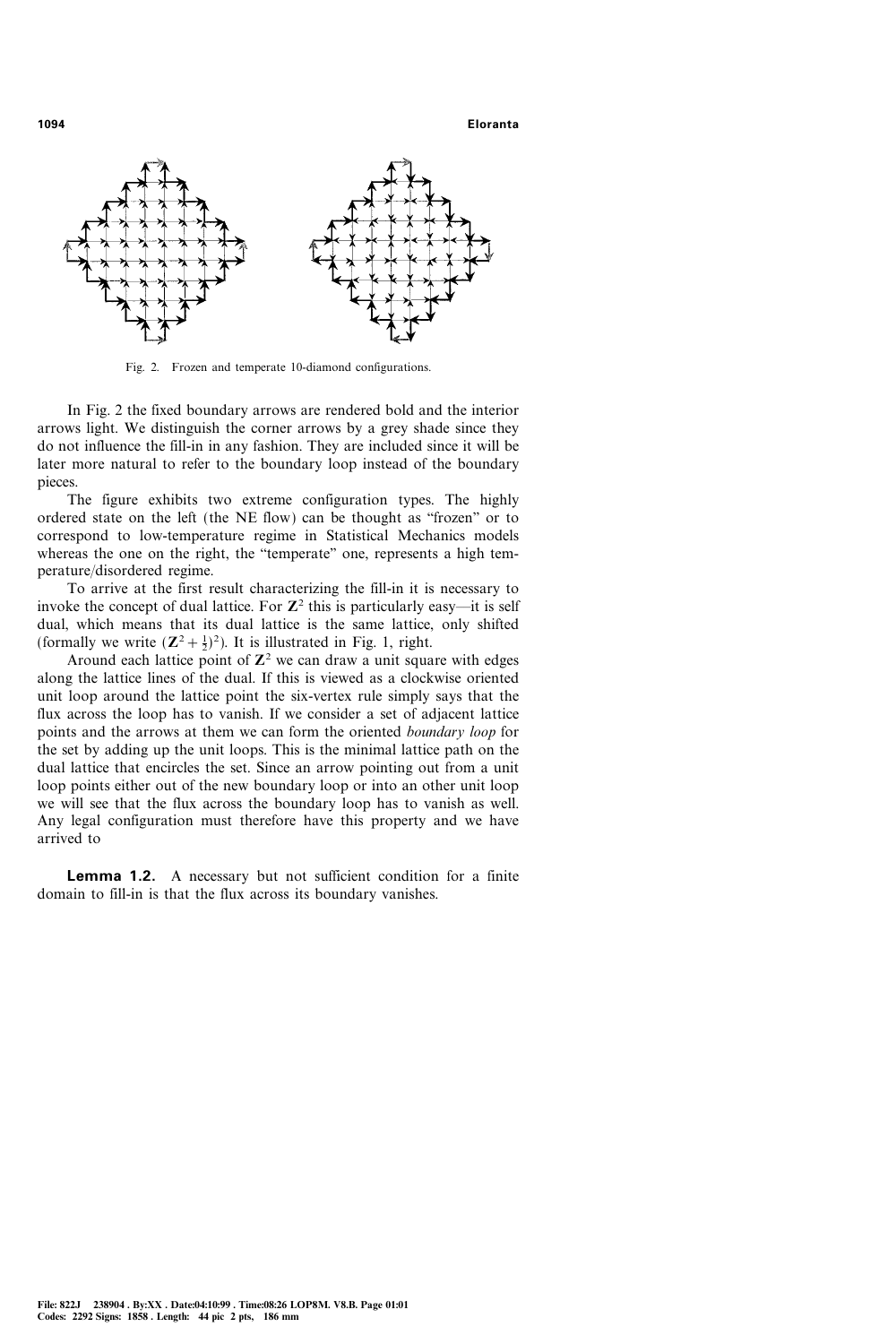

Fig. 2. Frozen and temperate 10-diamond configurations.

In Fig. 2 the fixed boundary arrows are rendered bold and the interior arrows light. We distinguish the corner arrows by a grey shade since they do not influence the fill-in in any fashion. They are included since it will be later more natural to refer to the boundary loop instead of the boundary pieces.

The figure exhibits two extreme configuration types. The highly ordered state on the left (the NE flow) can be thought as "frozen" or to correspond to low-temperature regime in Statistical Mechanics models whereas the one on the right, the "temperate" one, represents a high temperature/disordered regime.

To arrive at the first result characterizing the fill-in it is necessary to invoke the concept of dual lattice. For  $\mathbb{Z}^2$  this is particularly easy—it is self dual, which means that its dual lattice is the same lattice, only shifted (formally we write  $(\mathbb{Z}^2 + \frac{1}{2})^2$ ). It is illustrated in Fig. 1, right.

Around each lattice point of  $\mathbb{Z}^2$  we can draw a unit square with edges along the lattice lines of the dual. If this is viewed as a clockwise oriented unit loop around the lattice point the six-vertex rule simply says that the flux across the loop has to vanish. If we consider a set of adjacent lattice points and the arrows at them we can form the oriented boundary loop for the set by adding up the unit loops. This is the minimal lattice path on the dual lattice that encircles the set. Since an arrow pointing out from a unit loop points either out of the new boundary loop or into an other unit loop we will see that the flux across the boundary loop has to vanish as well. Any legal configuration must therefore have this property and we have arrived to

Lemma 1.2. A necessary but not sufficient condition for a finite domain to fill-in is that the flux across its boundary vanishes.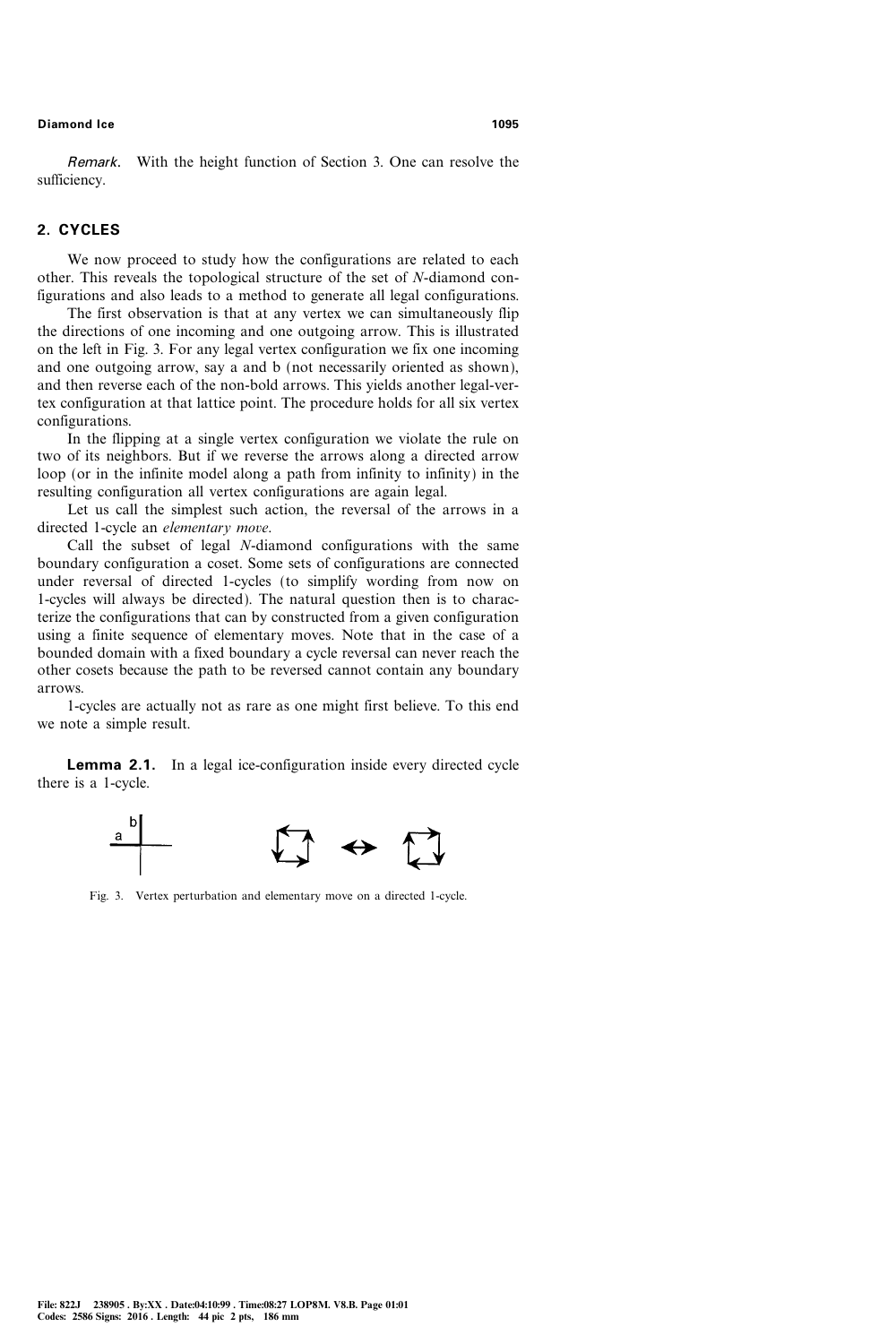Remark. With the height function of Section 3. One can resolve the sufficiency.

# 2. CYCLES

We now proceed to study how the configurations are related to each other. This reveals the topological structure of the set of N-diamond configurations and also leads to a method to generate all legal configurations.

The first observation is that at any vertex we can simultaneously flip the directions of one incoming and one outgoing arrow. This is illustrated on the left in Fig. 3. For any legal vertex configuration we fix one incoming and one outgoing arrow, say a and b (not necessarily oriented as shown), and then reverse each of the non-bold arrows. This yields another legal-vertex configuration at that lattice point. The procedure holds for all six vertex configurations.

In the flipping at a single vertex configuration we violate the rule on two of its neighbors. But if we reverse the arrows along a directed arrow loop (or in the infinite model along a path from infinity to infinity) in the resulting configuration all vertex configurations are again legal.

Let us call the simplest such action, the reversal of the arrows in a directed 1-cycle an elementary move.

Call the subset of legal N-diamond configurations with the same boundary configuration a coset. Some sets of configurations are connected under reversal of directed 1-cycles (to simplify wording from now on 1-cycles will always be directed). The natural question then is to characterize the configurations that can by constructed from a given configuration using a finite sequence of elementary moves. Note that in the case of a bounded domain with a fixed boundary a cycle reversal can never reach the other cosets because the path to be reversed cannot contain any boundary arrows.

1-cycles are actually not as rare as one might first believe. To this end we note a simple result.

**Lemma 2.1.** In a legal ice-configuration inside every directed cycle there is a 1-cycle.



Fig. 3. Vertex perturbation and elementary move on a directed 1-cycle.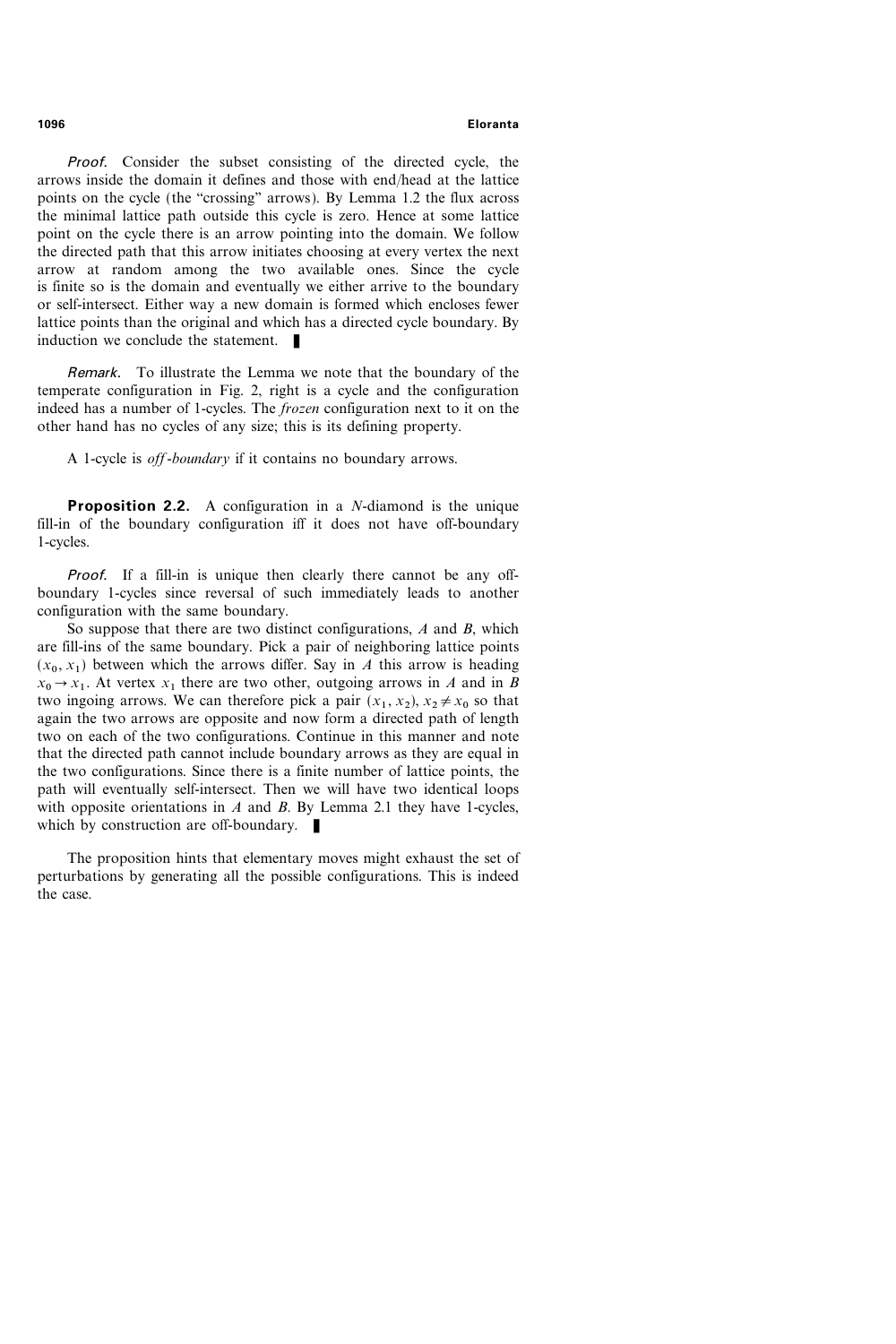Proof. Consider the subset consisting of the directed cycle, the arrows inside the domain it defines and those with endhead at the lattice points on the cycle (the "crossing" arrows). By Lemma 1.2 the flux across the minimal lattice path outside this cycle is zero. Hence at some lattice point on the cycle there is an arrow pointing into the domain. We follow the directed path that this arrow initiates choosing at every vertex the next arrow at random among the two available ones. Since the cycle is finite so is the domain and eventually we either arrive to the boundary or self-intersect. Either way a new domain is formed which encloses fewer lattice points than the original and which has a directed cycle boundary. By induction we conclude the statement.  $\blacksquare$ 

Remark. To illustrate the Lemma we note that the boundary of the temperate configuration in Fig. 2, right is a cycle and the configuration indeed has a number of 1-cycles. The frozen configuration next to it on the other hand has no cycles of any size; this is its defining property.

A 1-cycle is *off-boundary* if it contains no boundary arrows.

**Proposition 2.2.** A configuration in a *N*-diamond is the unique fill-in of the boundary configuration iff it does not have off-boundary 1-cycles.

Proof. If a fill-in is unique then clearly there cannot be any offboundary 1-cycles since reversal of such immediately leads to another configuration with the same boundary.

So suppose that there are two distinct configurations,  $A$  and  $B$ , which are fill-ins of the same boundary. Pick a pair of neighboring lattice points  $(x_0, x_1)$  between which the arrows differ. Say in A this arrow is heading  $x_0 \rightarrow x_1$ . At vertex  $x_1$  there are two other, outgoing arrows in A and in B two ingoing arrows. We can therefore pick a pair  $(x_1, x_2)$ ,  $x_2 \neq x_0$  so that again the two arrows are opposite and now form a directed path of length two on each of the two configurations. Continue in this manner and note that the directed path cannot include boundary arrows as they are equal in the two configurations. Since there is a finite number of lattice points, the path will eventually self-intersect. Then we will have two identical loops with opposite orientations in  $A$  and  $B$ . By Lemma 2.1 they have 1-cycles, which by construction are off-boundary.  $\blacksquare$ 

The proposition hints that elementary moves might exhaust the set of perturbations by generating all the possible configurations. This is indeed the case.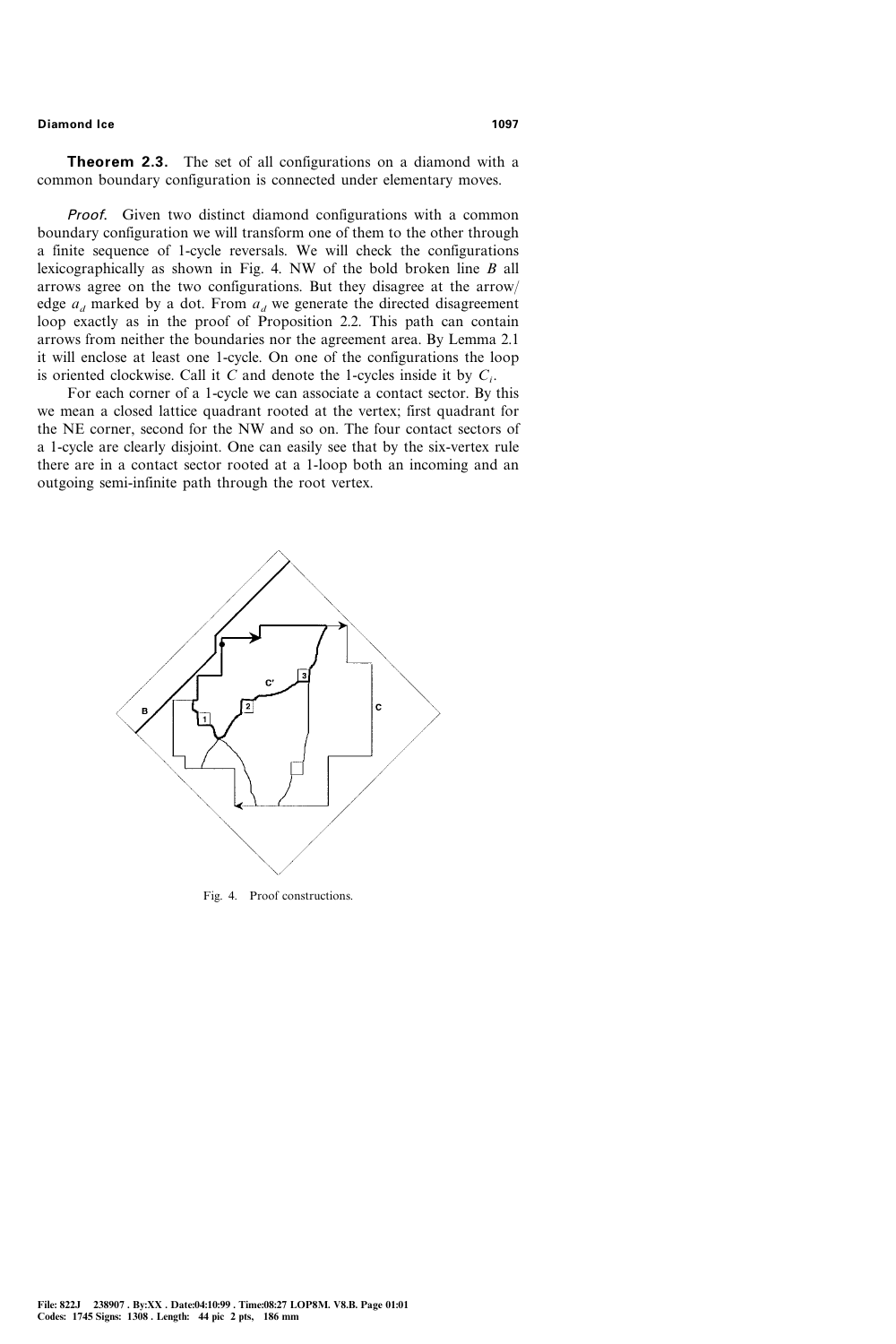**Theorem 2.3.** The set of all configurations on a diamond with a common boundary configuration is connected under elementary moves.

Proof. Given two distinct diamond configurations with a common boundary configuration we will transform one of them to the other through a finite sequence of 1-cycle reversals. We will check the configurations lexicographically as shown in Fig. 4. NW of the bold broken line B all arrows agree on the two configurations. But they disagree at the arrow edge  $a_d$  marked by a dot. From  $a_d$  we generate the directed disagreement loop exactly as in the proof of Proposition 2.2. This path can contain arrows from neither the boundaries nor the agreement area. By Lemma 2.1 it will enclose at least one 1-cycle. On one of the configurations the loop is oriented clockwise. Call it  $C$  and denote the 1-cycles inside it by  $C_i$ .

For each corner of a 1-cycle we can associate a contact sector. By this we mean a closed lattice quadrant rooted at the vertex; first quadrant for the NE corner, second for the NW and so on. The four contact sectors of a 1-cycle are clearly disjoint. One can easily see that by the six-vertex rule there are in a contact sector rooted at a 1-loop both an incoming and an outgoing semi-infinite path through the root vertex.



Fig. 4. Proof constructions.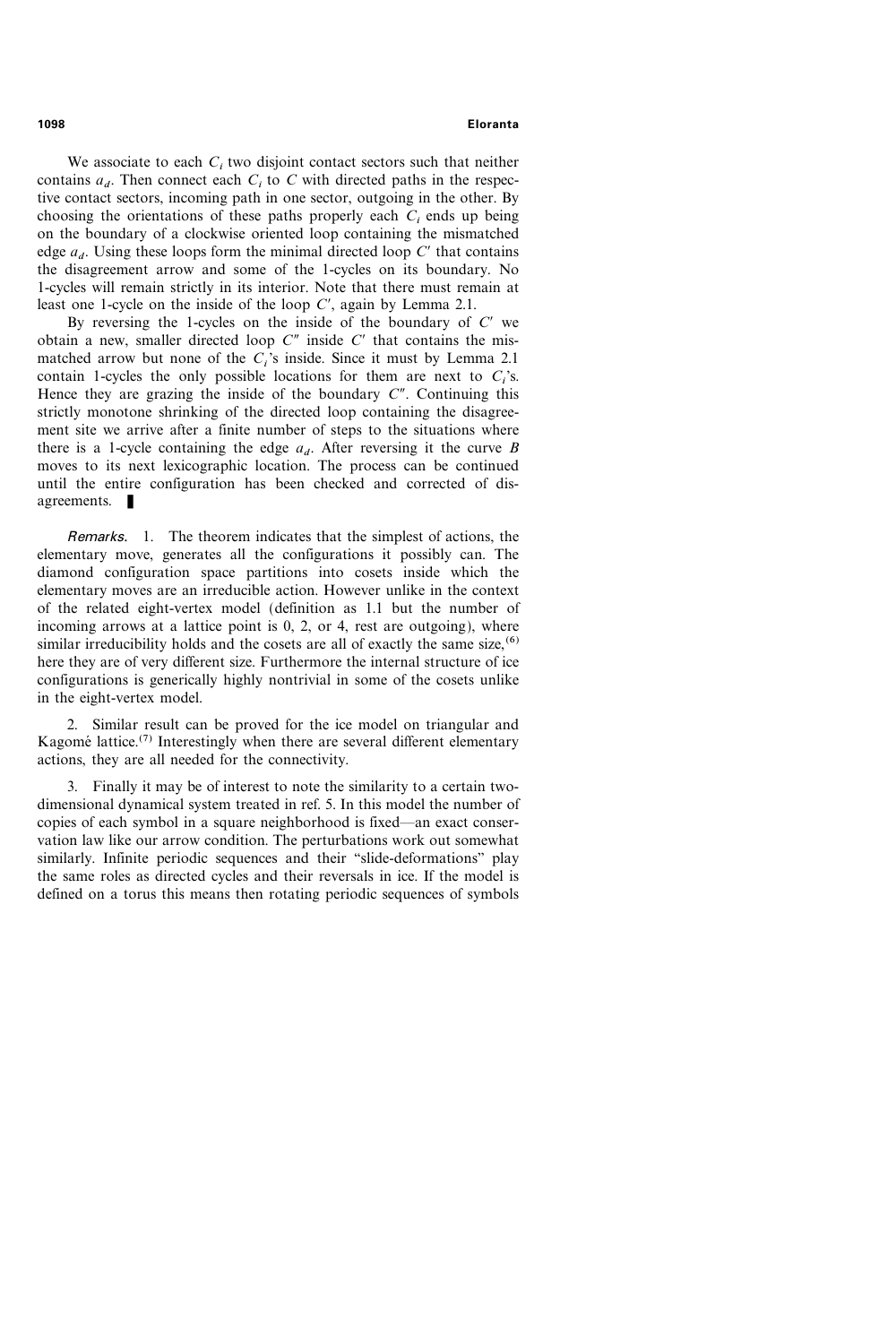We associate to each  $C<sub>i</sub>$  two disjoint contact sectors such that neither contains  $a_d$ . Then connect each  $C_i$  to C with directed paths in the respective contact sectors, incoming path in one sector, outgoing in the other. By choosing the orientations of these paths properly each  $C_i$  ends up being on the boundary of a clockwise oriented loop containing the mismatched edge  $a_d$ . Using these loops form the minimal directed loop C' that contains the disagreement arrow and some of the 1-cycles on its boundary. No 1-cycles will remain strictly in its interior. Note that there must remain at least one 1-cycle on the inside of the loop  $C'$ , again by Lemma 2.1.

By reversing the 1-cycles on the inside of the boundary of  $C'$  we obtain a new, smaller directed loop  $C''$  inside  $C'$  that contains the mismatched arrow but none of the  $C_i$ 's inside. Since it must by Lemma 2.1 contain 1-cycles the only possible locations for them are next to  $C_i$ 's. Hence they are grazing the inside of the boundary  $C''$ . Continuing this strictly monotone shrinking of the directed loop containing the disagreement site we arrive after a finite number of steps to the situations where there is a 1-cycle containing the edge  $a<sub>d</sub>$ . After reversing it the curve B moves to its next lexicographic location. The process can be continued until the entire configuration has been checked and corrected of disagreements.  $\blacksquare$ 

Remarks. 1. The theorem indicates that the simplest of actions, the elementary move, generates all the configurations it possibly can. The diamond configuration space partitions into cosets inside which the elementary moves are an irreducible action. However unlike in the context of the related eight-vertex model (definition as 1.1 but the number of incoming arrows at a lattice point is 0, 2, or 4, rest are outgoing), where similar irreducibility holds and the cosets are all of exactly the same size,  $(6)$ here they are of very different size. Furthermore the internal structure of ice configurations is generically highly nontrivial in some of the cosets unlike in the eight-vertex model.

2. Similar result can be proved for the ice model on triangular and Kagomé lattice.<sup>(7)</sup> Interestingly when there are several different elementary actions, they are all needed for the connectivity.

3. Finally it may be of interest to note the similarity to a certain twodimensional dynamical system treated in ref. 5. In this model the number of copies of each symbol in a square neighborhood is fixed—an exact conservation law like our arrow condition. The perturbations work out somewhat similarly. Infinite periodic sequences and their "slide-deformations" play the same roles as directed cycles and their reversals in ice. If the model is defined on a torus this means then rotating periodic sequences of symbols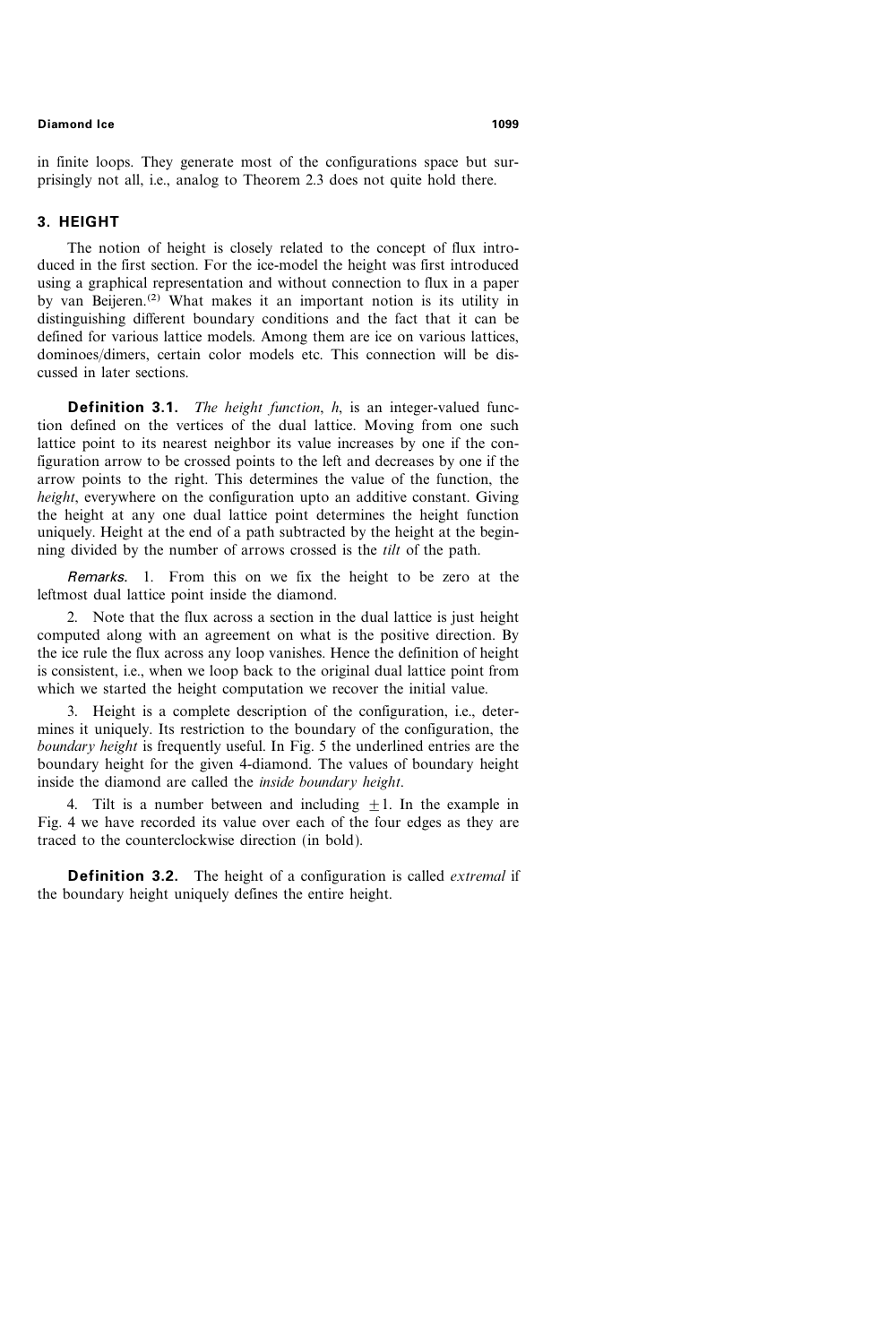in finite loops. They generate most of the configurations space but surprisingly not all, i.e., analog to Theorem 2.3 does not quite hold there.

# 3. HEIGHT

The notion of height is closely related to the concept of flux introduced in the first section. For the ice-model the height was first introduced using a graphical representation and without connection to flux in a paper by van Beijeren.(2) What makes it an important notion is its utility in distinguishing different boundary conditions and the fact that it can be defined for various lattice models. Among them are ice on various lattices, dominoes/dimers, certain color models etc. This connection will be discussed in later sections.

**Definition 3.1.** *The height function, h, is an integer-valued func*tion defined on the vertices of the dual lattice. Moving from one such lattice point to its nearest neighbor its value increases by one if the configuration arrow to be crossed points to the left and decreases by one if the arrow points to the right. This determines the value of the function, the height, everywhere on the configuration upto an additive constant. Giving the height at any one dual lattice point determines the height function uniquely. Height at the end of a path subtracted by the height at the beginning divided by the number of arrows crossed is the tilt of the path.

Remarks. 1. From this on we fix the height to be zero at the leftmost dual lattice point inside the diamond.

2. Note that the flux across a section in the dual lattice is just height computed along with an agreement on what is the positive direction. By the ice rule the flux across any loop vanishes. Hence the definition of height is consistent, i.e., when we loop back to the original dual lattice point from which we started the height computation we recover the initial value.

3. Height is a complete description of the configuration, i.e., determines it uniquely. Its restriction to the boundary of the configuration, the boundary height is frequently useful. In Fig. 5 the underlined entries are the boundary height for the given 4-diamond. The values of boundary height inside the diamond are called the inside boundary height.

4. Tilt is a number between and including  $+1$ . In the example in Fig. 4 we have recorded its value over each of the four edges as they are traced to the counterclockwise direction (in bold).

**Definition 3.2.** The height of a configuration is called *extremal* if the boundary height uniquely defines the entire height.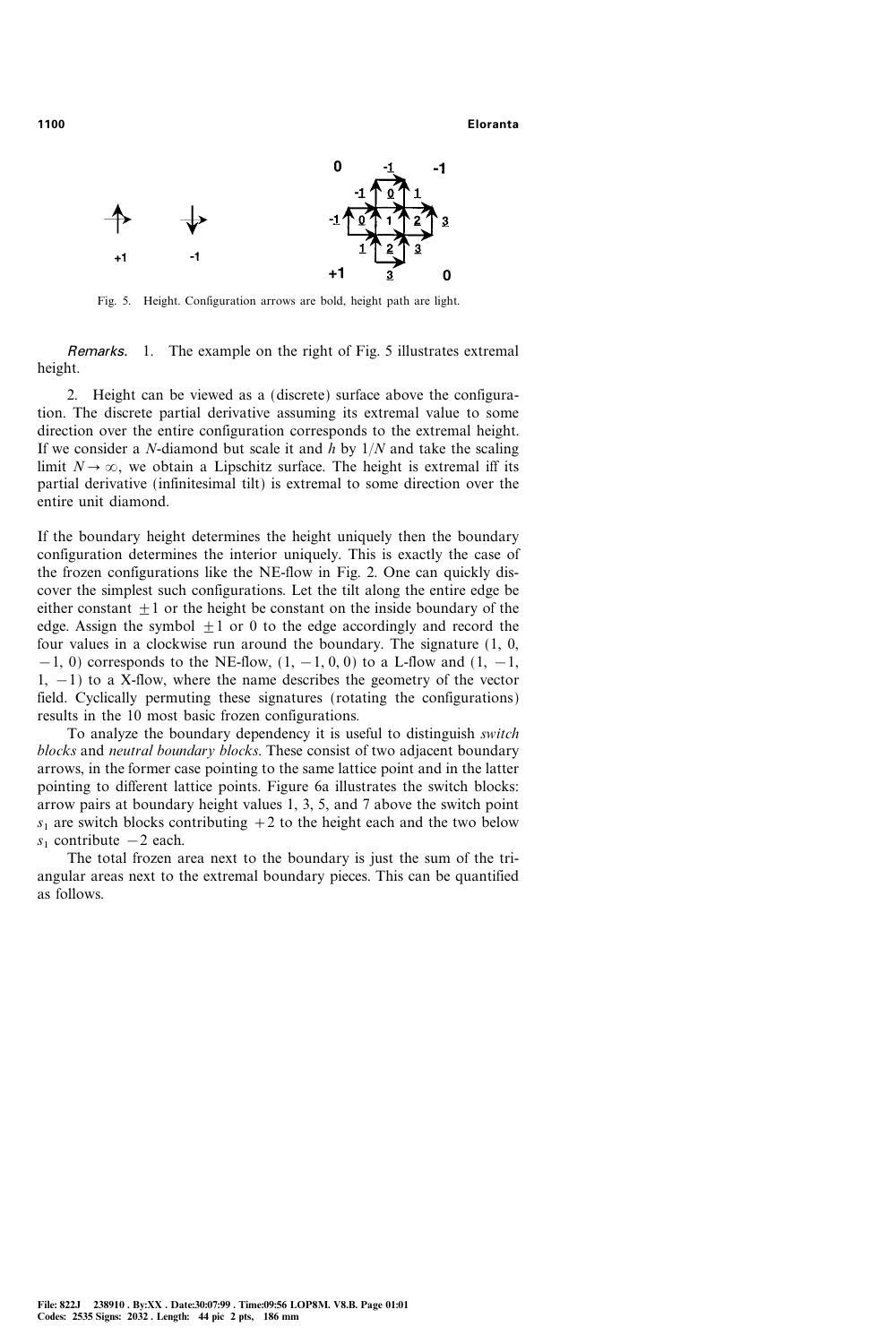

Fig. 5. Height. Configuration arrows are bold, height path are light.

Remarks. 1. The example on the right of Fig. 5 illustrates extremal height.

2. Height can be viewed as a (discrete) surface above the configuration. The discrete partial derivative assuming its extremal value to some direction over the entire configuration corresponds to the extremal height. If we consider a N-diamond but scale it and  $\hat{h}$  by  $1/N$  and take the scaling limit  $N \to \infty$ , we obtain a Lipschitz surface. The height is extremal iff its partial derivative (infinitesimal tilt) is extremal to some direction over the entire unit diamond.

If the boundary height determines the height uniquely then the boundary configuration determines the interior uniquely. This is exactly the case of the frozen configurations like the NE-flow in Fig. 2. One can quickly discover the simplest such configurations. Let the tilt along the entire edge be either constant  $\pm 1$  or the height be constant on the inside boundary of the edge. Assign the symbol  $\pm 1$  or 0 to the edge accordingly and record the four values in a clockwise run around the boundary. The signature (1, 0,  $-1$ , 0) corresponds to the NE-flow,  $(1, -1, 0, 0)$  to a L-flow and  $(1, -1, 0, 0)$  $1, -1$ ) to a X-flow, where the name describes the geometry of the vector field. Cyclically permuting these signatures (rotating the configurations) results in the 10 most basic frozen configurations.

To analyze the boundary dependency it is useful to distinguish switch blocks and neutral boundary blocks. These consist of two adjacent boundary arrows, in the former case pointing to the same lattice point and in the latter pointing to different lattice points. Figure 6a illustrates the switch blocks: arrow pairs at boundary height values 1, 3, 5, and 7 above the switch point  $s_1$  are switch blocks contributing  $+2$  to the height each and the two below  $s_1$  contribute  $-2$  each.

The total frozen area next to the boundary is just the sum of the triangular areas next to the extremal boundary pieces. This can be quantified as follows.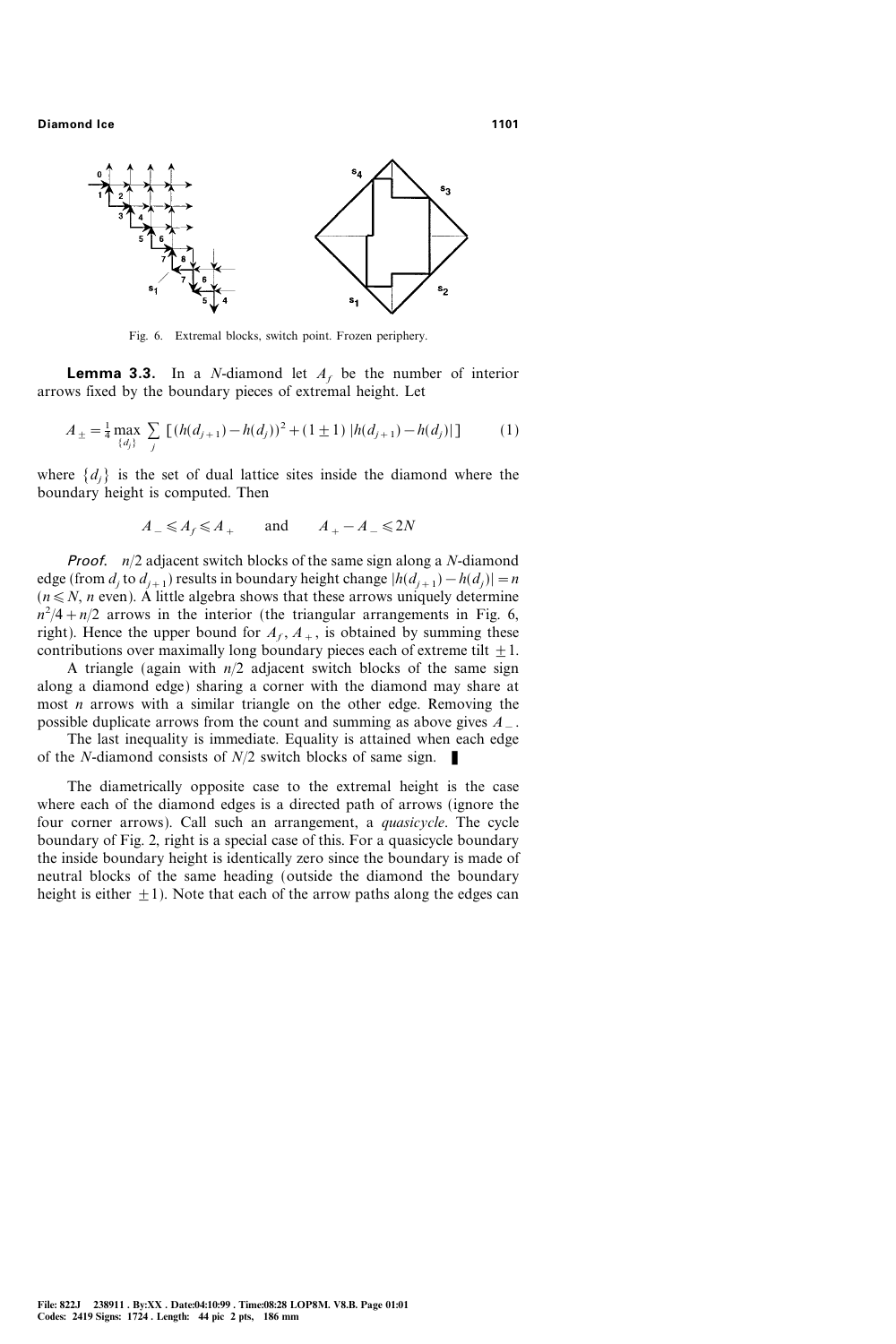

Fig. 6. Extremal blocks, switch point. Frozen periphery.

**Lemma 3.3.** In a *N*-diamond let  $A_f$  be the number of interior arrows fixed by the boundary pieces of extremal height. Let

$$
A_{\pm} = \frac{1}{4} \max_{\{d_j\}} \sum_j \left[ (h(d_{j+1}) - h(d_j))^2 + (1 \pm 1) |h(d_{j+1}) - h(d_j)| \right] \tag{1}
$$

where  $\{d_i\}$  is the set of dual lattice sites inside the diamond where the boundary height is computed. Then

$$
A_- \leq A_f \leq A_+ \qquad \text{and} \qquad A_+ - A_- \leq 2N
$$

**Proof.**  $n/2$  adjacent switch blocks of the same sign along a N-diamond edge (from  $d_i$  to  $d_{i+1}$ ) results in boundary height change  $|h(d_{i+1})-h(d_i)|=n$  $(n \leq N, n \text{ even})$ . A little algebra shows that these arrows uniquely determine  $n^2/4 + n/2$  arrows in the interior (the triangular arrangements in Fig. 6, right). Hence the upper bound for  $A_f$ ,  $A_+$ , is obtained by summing these contributions over maximally long boundary pieces each of extreme tilt  $\pm 1$ .

A triangle (again with  $n/2$  adjacent switch blocks of the same sign along a diamond edge) sharing a corner with the diamond may share at most  $n$  arrows with a similar triangle on the other edge. Removing the possible duplicate arrows from the count and summing as above gives  $A_{-}$ .

The last inequality is immediate. Equality is attained when each edge of the N-diamond consists of  $N/2$  switch blocks of same sign.

The diametrically opposite case to the extremal height is the case where each of the diamond edges is a directed path of arrows (ignore the four corner arrows). Call such an arrangement, a quasicycle. The cycle boundary of Fig. 2, right is a special case of this. For a quasicycle boundary the inside boundary height is identically zero since the boundary is made of neutral blocks of the same heading (outside the diamond the boundary height is either  $\pm 1$ ). Note that each of the arrow paths along the edges can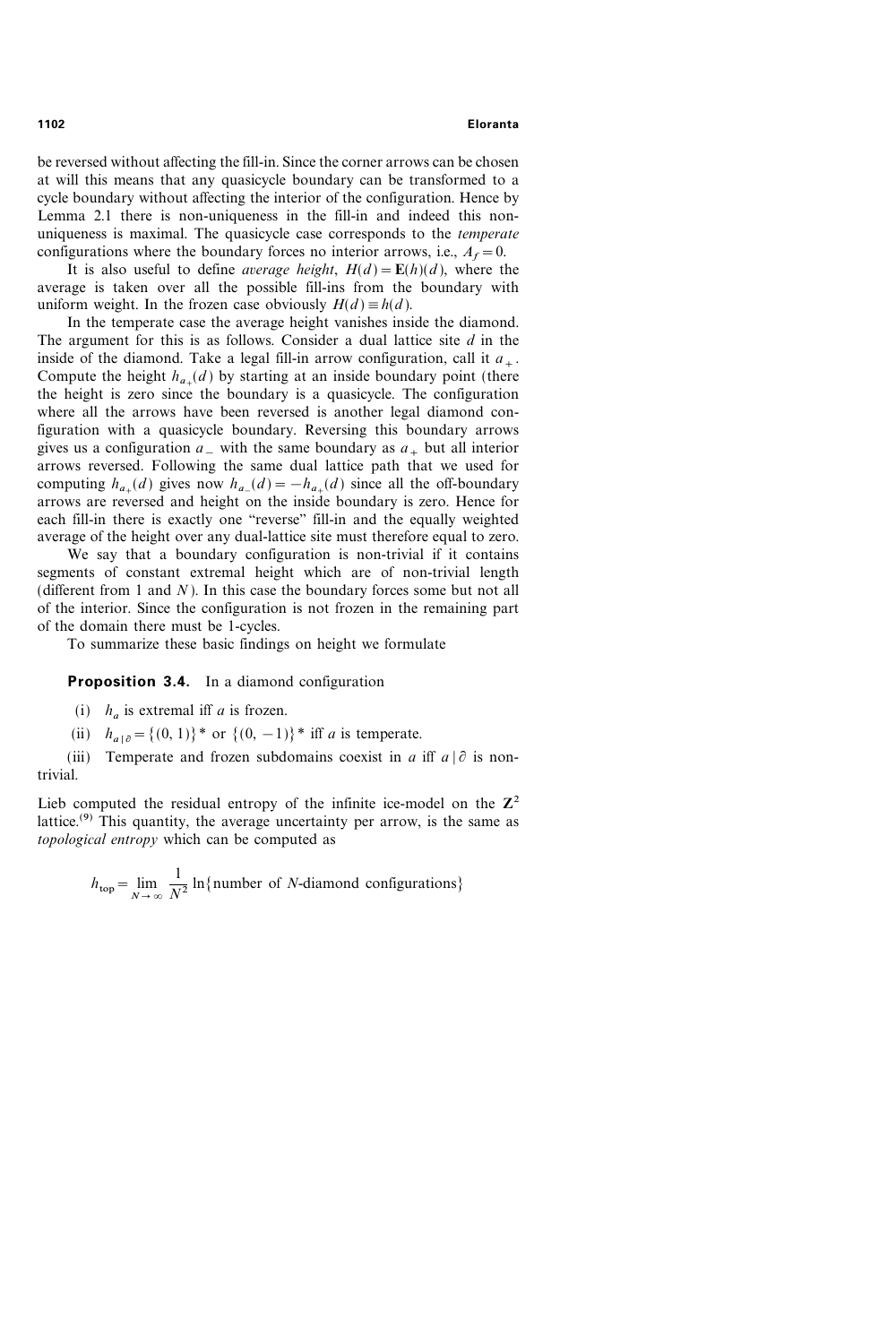be reversed without affecting the fill-in. Since the corner arrows can be chosen at will this means that any quasicycle boundary can be transformed to a cycle boundary without affecting the interior of the configuration. Hence by Lemma 2.1 there is non-uniqueness in the fill-in and indeed this nonuniqueness is maximal. The quasicycle case corresponds to the temperate configurations where the boundary forces no interior arrows, i.e.,  $A_f=0$ .

It is also useful to define *average height*,  $H(d) = \mathbf{E}(h)(d)$ , where the average is taken over all the possible fill-ins from the boundary with uniform weight. In the frozen case obviously  $H(d) \equiv h(d)$ .

In the temperate case the average height vanishes inside the diamond. The argument for this is as follows. Consider a dual lattice site  $d$  in the inside of the diamond. Take a legal fill-in arrow configuration, call it  $a_{+}$ . Compute the height  $h_{a+}(d)$  by starting at an inside boundary point (there the height is zero since the boundary is a quasicycle. The configuration where all the arrows have been reversed is another legal diamond configuration with a quasicycle boundary. Reversing this boundary arrows gives us a configuration  $a_{-}$  with the same boundary as  $a_{+}$  but all interior arrows reversed. Following the same dual lattice path that we used for computing  $h_{a+}(d)$  gives now  $h_{a+}(d)=-h_{a+}(d)$  since all the off-boundary arrows are reversed and height on the inside boundary is zero. Hence for each fill-in there is exactly one "reverse" fill-in and the equally weighted average of the height over any dual-lattice site must therefore equal to zero.

We say that a boundary configuration is non-trivial if it contains segments of constant extremal height which are of non-trivial length (different from 1 and  $N$ ). In this case the boundary forces some but not all of the interior. Since the configuration is not frozen in the remaining part of the domain there must be 1-cycles.

To summarize these basic findings on height we formulate

### **Proposition 3.4.** In a diamond configuration

(i)  $h_a$  is extremal iff a is frozen.

(ii)  $h_{a|\partial} = \{(0, 1)\}^*$  or  $\{(0, -1)\}^*$  iff a is temperate.

(iii) Temperate and frozen subdomains coexist in a iff  $a | \partial$  is nontrivial.

Lieb computed the residual entropy of the infinite ice-model on the  $\mathbb{Z}^2$ lattice.<sup>(9)</sup> This quantity, the average uncertainty per arrow, is the same as topological entropy which can be computed as

$$
h_{\text{top}} = \lim_{N \to \infty} \frac{1}{N^2} \ln \{ \text{number of } N \text{-diamond } \text{conf} \text{gurations} \}
$$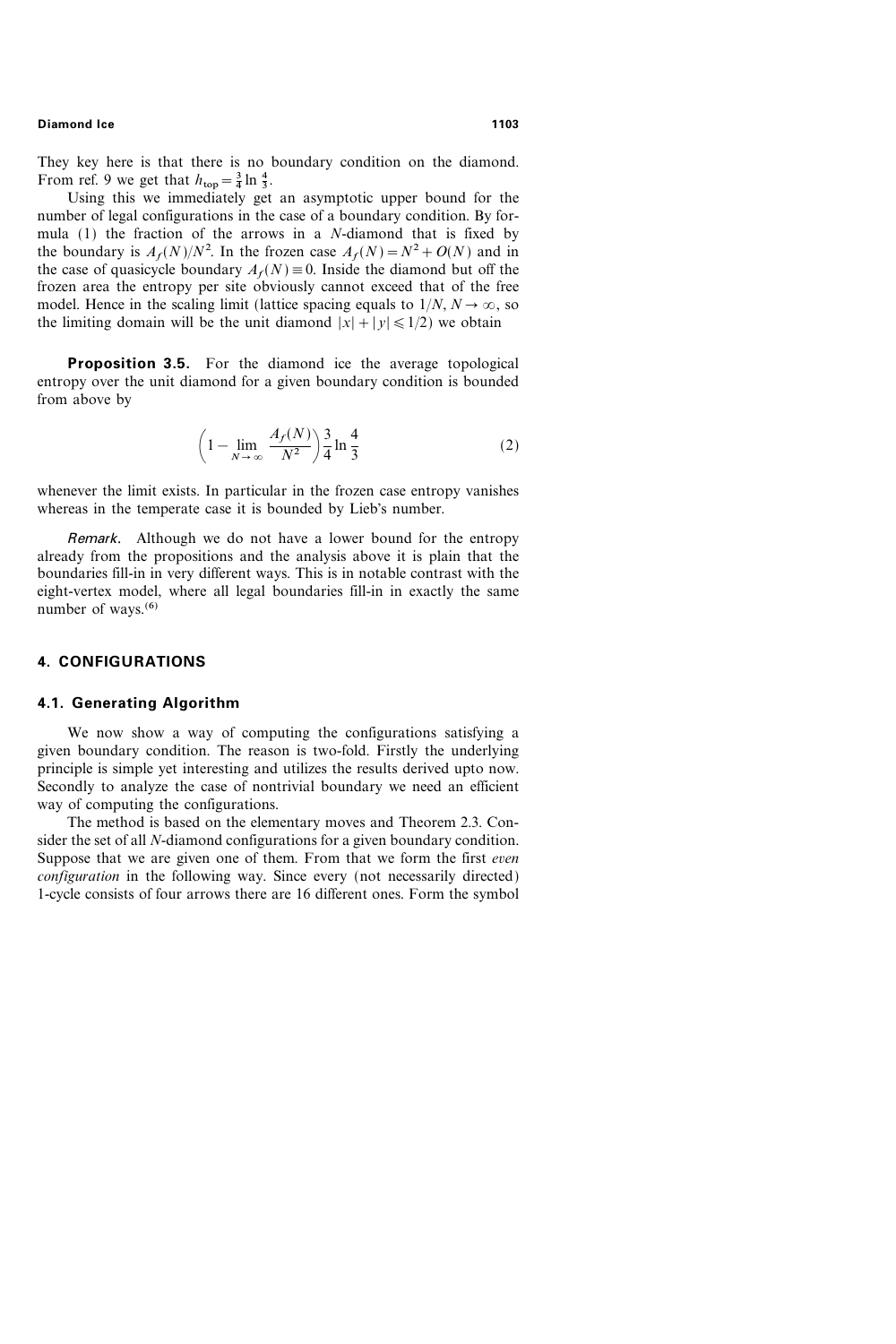They key here is that there is no boundary condition on the diamond. From ref. 9 we get that  $h_{\text{top}} = \frac{3}{4} \ln \frac{4}{3}$ .

Using this we immediately get an asymptotic upper bound for the number of legal configurations in the case of a boundary condition. By formula (1) the fraction of the arrows in a N-diamond that is fixed by the boundary is  $A_f(N)/N^2$ . In the frozen case  $A_f(N) = N^2 + O(N)$  and in the case of quasicycle boundary  $A_f(N) \equiv 0$ . Inside the diamond but off the frozen area the entropy per site obviously cannot exceed that of the free model. Hence in the scaling limit (lattice spacing equals to  $1/N$ ,  $N \rightarrow \infty$ , so the limiting domain will be the unit diamond  $|x| + |y| \le 1/2$ ) we obtain

**Proposition 3.5.** For the diamond ice the average topological entropy over the unit diamond for a given boundary condition is bounded from above by

$$
\left(1 - \lim_{N \to \infty} \frac{A_f(N)}{N^2}\right) \frac{3}{4} \ln \frac{4}{3}
$$
 (2)

whenever the limit exists. In particular in the frozen case entropy vanishes whereas in the temperate case it is bounded by Lieb's number.

Remark. Although we do not have a lower bound for the entropy already from the propositions and the analysis above it is plain that the boundaries fill-in in very different ways. This is in notable contrast with the eight-vertex model, where all legal boundaries fill-in in exactly the same number of ways. $(6)$ 

### 4. CONFIGURATIONS

### 4.1. Generating Algorithm

We now show a way of computing the configurations satisfying a given boundary condition. The reason is two-fold. Firstly the underlying principle is simple yet interesting and utilizes the results derived upto now. Secondly to analyze the case of nontrivial boundary we need an efficient way of computing the configurations.

The method is based on the elementary moves and Theorem 2.3. Consider the set of all N-diamond configurations for a given boundary condition. Suppose that we are given one of them. From that we form the first even configuration in the following way. Since every (not necessarily directed) 1-cycle consists of four arrows there are 16 different ones. Form the symbol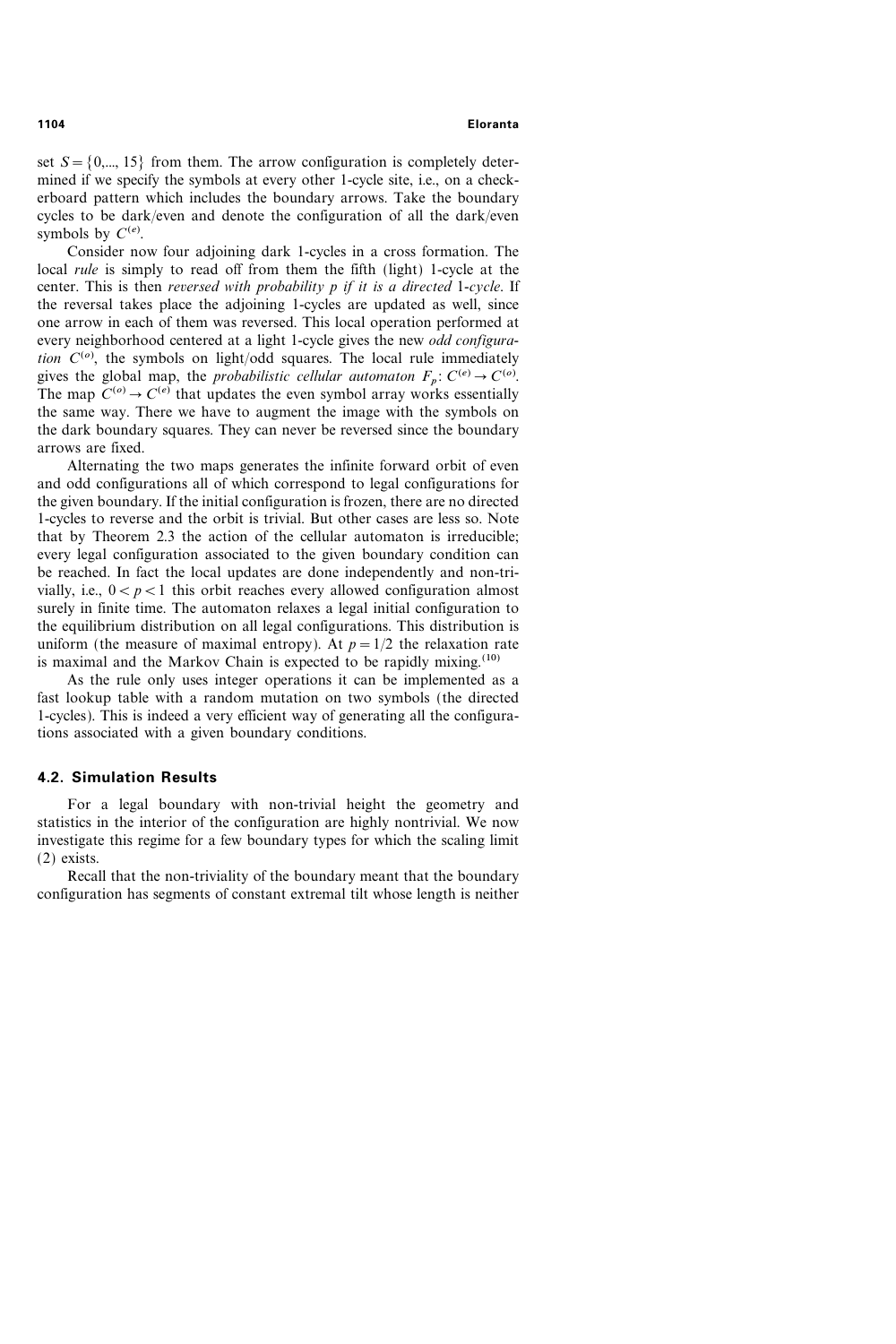set  $S = \{0, \ldots, 15\}$  from them. The arrow configuration is completely determined if we specify the symbols at every other 1-cycle site, i.e., on a checkerboard pattern which includes the boundary arrows. Take the boundary cycles to be dark/even and denote the configuration of all the dark/even symbols by  $C^{(e)}$ .

Consider now four adjoining dark 1-cycles in a cross formation. The local *rule* is simply to read off from them the fifth (light) 1-cycle at the center. This is then reversed with probability  $p$  if it is a directed 1-cycle. If the reversal takes place the adjoining 1-cycles are updated as well, since one arrow in each of them was reversed. This local operation performed at every neighborhood centered at a light 1-cycle gives the new *odd configura*tion  $C^{(o)}$ , the symbols on light/odd squares. The local rule immediately gives the global map, the *probabilistic cellular automaton*  $F_p$ :  $C^{(e)} \rightarrow C^{(o)}$ . The map  $C^{(o)} \rightarrow C^{(e)}$  that updates the even symbol array works essentially the same way. There we have to augment the image with the symbols on the dark boundary squares. They can never be reversed since the boundary arrows are fixed.

Alternating the two maps generates the infinite forward orbit of even and odd configurations all of which correspond to legal configurations for the given boundary. If the initial configuration is frozen, there are no directed 1-cycles to reverse and the orbit is trivial. But other cases are less so. Note that by Theorem 2.3 the action of the cellular automaton is irreducible; every legal configuration associated to the given boundary condition can be reached. In fact the local updates are done independently and non-trivially, i.e.,  $0 < p < 1$  this orbit reaches every allowed configuration almost surely in finite time. The automaton relaxes a legal initial configuration to the equilibrium distribution on all legal configurations. This distribution is uniform (the measure of maximal entropy). At  $p=1/2$  the relaxation rate is maximal and the Markov Chain is expected to be rapidly mixing.<sup> $(10)$ </sup>

As the rule only uses integer operations it can be implemented as a fast lookup table with a random mutation on two symbols (the directed 1-cycles). This is indeed a very efficient way of generating all the configurations associated with a given boundary conditions.

# 4.2. Simulation Results

For a legal boundary with non-trivial height the geometry and statistics in the interior of the configuration are highly nontrivial. We now investigate this regime for a few boundary types for which the scaling limit (2) exists.

Recall that the non-triviality of the boundary meant that the boundary configuration has segments of constant extremal tilt whose length is neither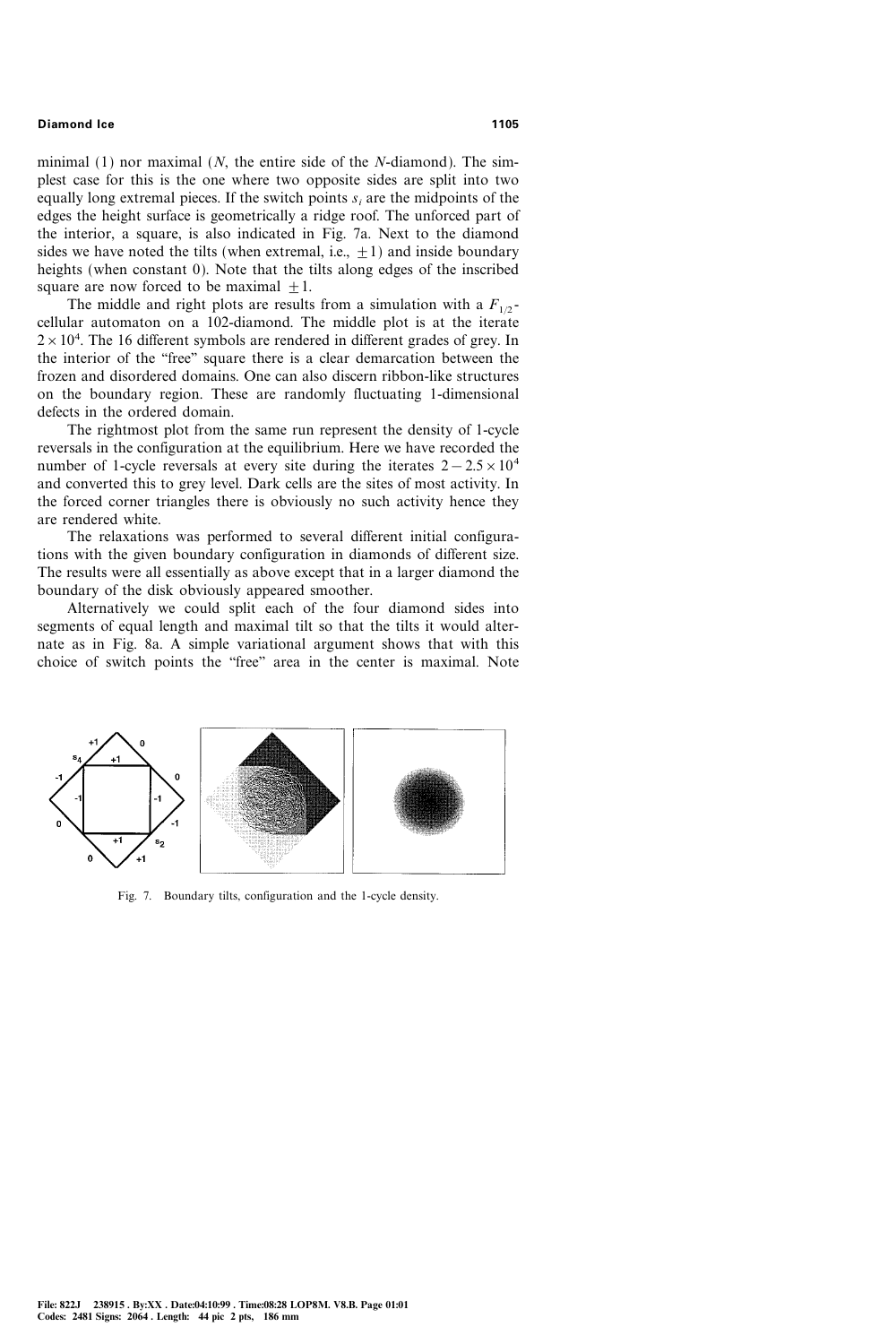minimal  $(1)$  nor maximal  $(N,$  the entire side of the N-diamond). The simplest case for this is the one where two opposite sides are split into two equally long extremal pieces. If the switch points  $s_i$  are the midpoints of the edges the height surface is geometrically a ridge roof. The unforced part of the interior, a square, is also indicated in Fig. 7a. Next to the diamond sides we have noted the tilts (when extremal, i.e.,  $+1$ ) and inside boundary heights (when constant 0). Note that the tilts along edges of the inscribed square are now forced to be maximal  $+1$ .

The middle and right plots are results from a simulation with a  $F_{1/2}$ cellular automaton on a 102-diamond. The middle plot is at the iterate  $2 \times 10^4$ . The 16 different symbols are rendered in different grades of grey. In the interior of the "free" square there is a clear demarcation between the frozen and disordered domains. One can also discern ribbon-like structures on the boundary region. These are randomly fluctuating 1-dimensional defects in the ordered domain.

The rightmost plot from the same run represent the density of 1-cycle reversals in the configuration at the equilibrium. Here we have recorded the number of 1-cycle reversals at every site during the iterates  $2-2.5\times10^4$ and converted this to grey level. Dark cells are the sites of most activity. In the forced corner triangles there is obviously no such activity hence they are rendered white.

The relaxations was performed to several different initial configurations with the given boundary configuration in diamonds of different size. The results were all essentially as above except that in a larger diamond the boundary of the disk obviously appeared smoother.

Alternatively we could split each of the four diamond sides into segments of equal length and maximal tilt so that the tilts it would alternate as in Fig. 8a. A simple variational argument shows that with this choice of switch points the "free" area in the center is maximal. Note



Fig. 7. Boundary tilts, configuration and the 1-cycle density.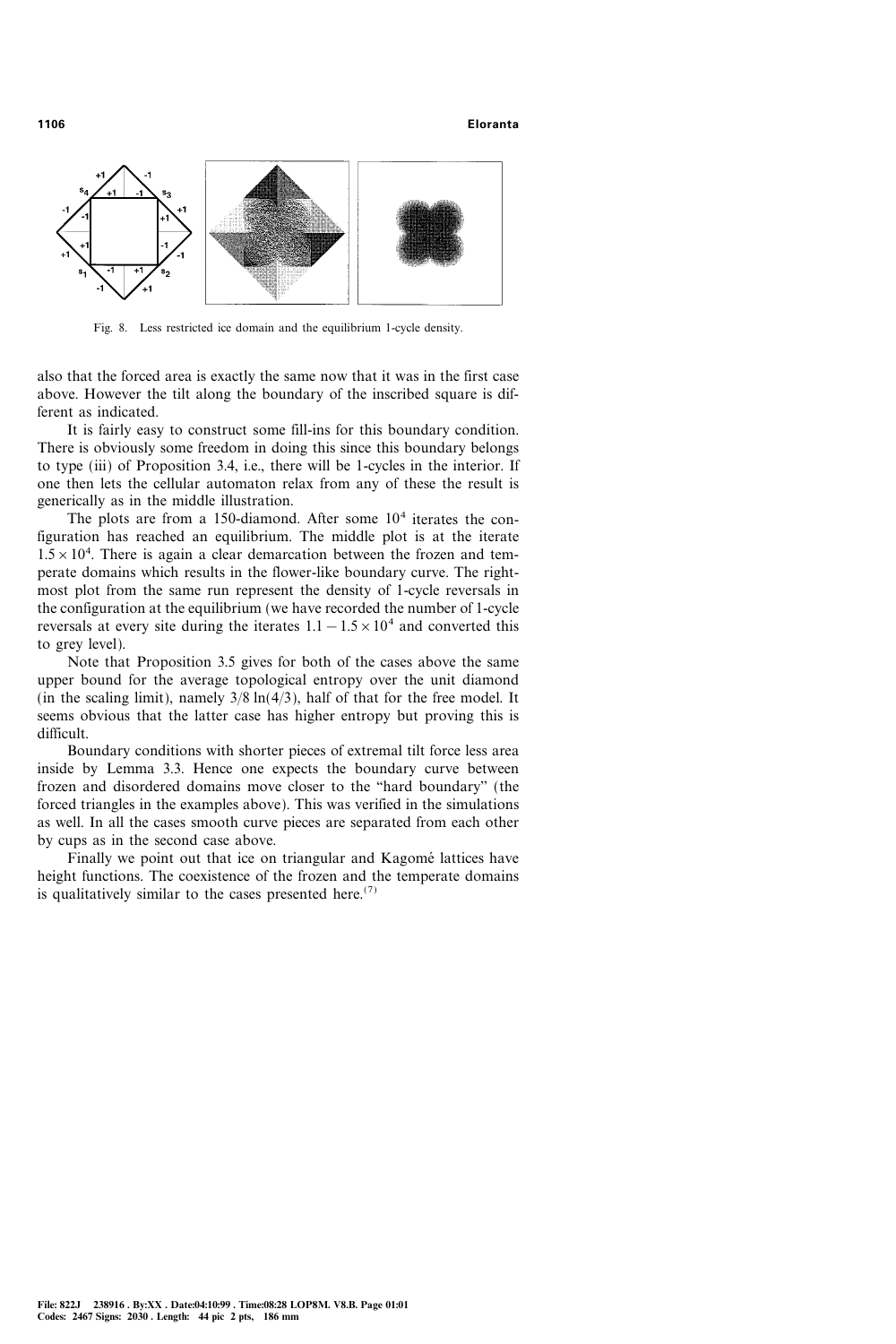#### 1106 Eloranta



Fig. 8. Less restricted ice domain and the equilibrium 1-cycle density.

also that the forced area is exactly the same now that it was in the first case above. However the tilt along the boundary of the inscribed square is different as indicated.

It is fairly easy to construct some fill-ins for this boundary condition. There is obviously some freedom in doing this since this boundary belongs to type (iii) of Proposition 3.4, i.e., there will be 1-cycles in the interior. If one then lets the cellular automaton relax from any of these the result is generically as in the middle illustration.

The plots are from a 150-diamond. After some  $10<sup>4</sup>$  iterates the configuration has reached an equilibrium. The middle plot is at the iterate  $1.5 \times 10^4$ . There is again a clear demarcation between the frozen and temperate domains which results in the flower-like boundary curve. The rightmost plot from the same run represent the density of 1-cycle reversals in the configuration at the equilibrium (we have recorded the number of 1-cycle reversals at every site during the iterates  $1.1-1.5\times10^4$  and converted this to grey level).

Note that Proposition 3.5 gives for both of the cases above the same upper bound for the average topological entropy over the unit diamond (in the scaling limit), namely  $3/8 \ln(4/3)$ , half of that for the free model. It seems obvious that the latter case has higher entropy but proving this is difficult.

Boundary conditions with shorter pieces of extremal tilt force less area inside by Lemma 3.3. Hence one expects the boundary curve between frozen and disordered domains move closer to the "hard boundary" (the forced triangles in the examples above). This was verified in the simulations as well. In all the cases smooth curve pieces are separated from each other by cups as in the second case above.

Finally we point out that ice on triangular and Kagomé lattices have height functions. The coexistence of the frozen and the temperate domains is qualitatively similar to the cases presented here.<sup> $(7)$ </sup>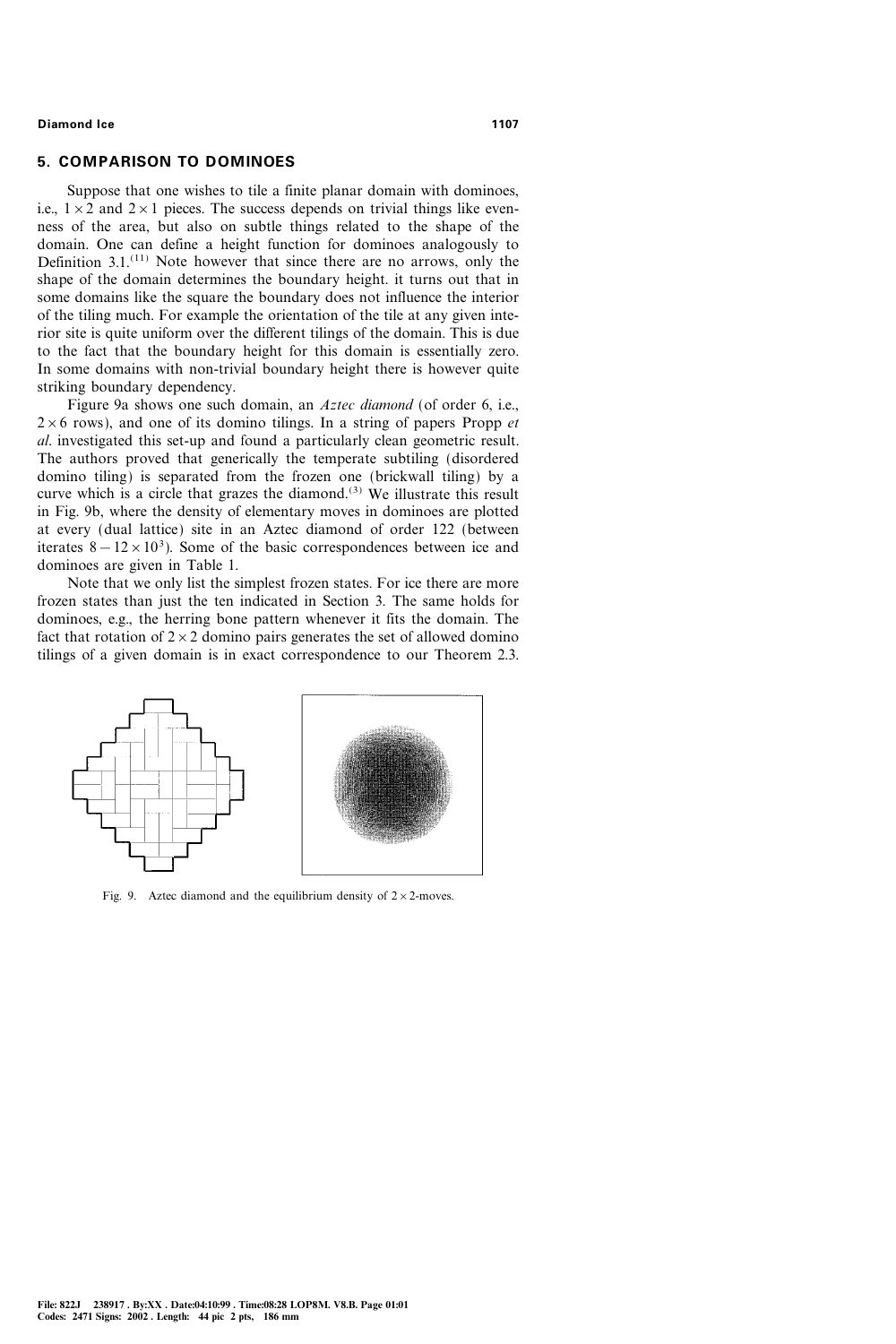# 5. COMPARISON TO DOMINOES

Suppose that one wishes to tile a finite planar domain with dominoes, i.e.,  $1 \times 2$  and  $2 \times 1$  pieces. The success depends on trivial things like evenness of the area, but also on subtle things related to the shape of the domain. One can define a height function for dominoes analogously to Definition  $3.1$ .<sup>(11)</sup> Note however that since there are no arrows, only the shape of the domain determines the boundary height. it turns out that in some domains like the square the boundary does not influence the interior of the tiling much. For example the orientation of the tile at any given interior site is quite uniform over the different tilings of the domain. This is due to the fact that the boundary height for this domain is essentially zero. In some domains with non-trivial boundary height there is however quite striking boundary dependency.

Figure 9a shows one such domain, an Aztec diamond (of order 6, i.e.,  $2\times 6$  rows), and one of its domino tilings. In a string of papers Propp et al. investigated this set-up and found a particularly clean geometric result. The authors proved that generically the temperate subtiling (disordered domino tiling) is separated from the frozen one (brickwall tiling) by a curve which is a circle that grazes the diamond.<sup>(3)</sup> We illustrate this result in Fig. 9b, where the density of elementary moves in dominoes are plotted at every (dual lattice) site in an Aztec diamond of order 122 (between iterates  $8-12 \times 10^3$ ). Some of the basic correspondences between ice and dominoes are given in Table 1.

Note that we only list the simplest frozen states. For ice there are more frozen states than just the ten indicated in Section 3. The same holds for dominoes, e.g., the herring bone pattern whenever it fits the domain. The fact that rotation of  $2 \times 2$  domino pairs generates the set of allowed domino tilings of a given domain is in exact correspondence to our Theorem 2.3.



Fig. 9. Aztec diamond and the equilibrium density of  $2 \times 2$ -moves.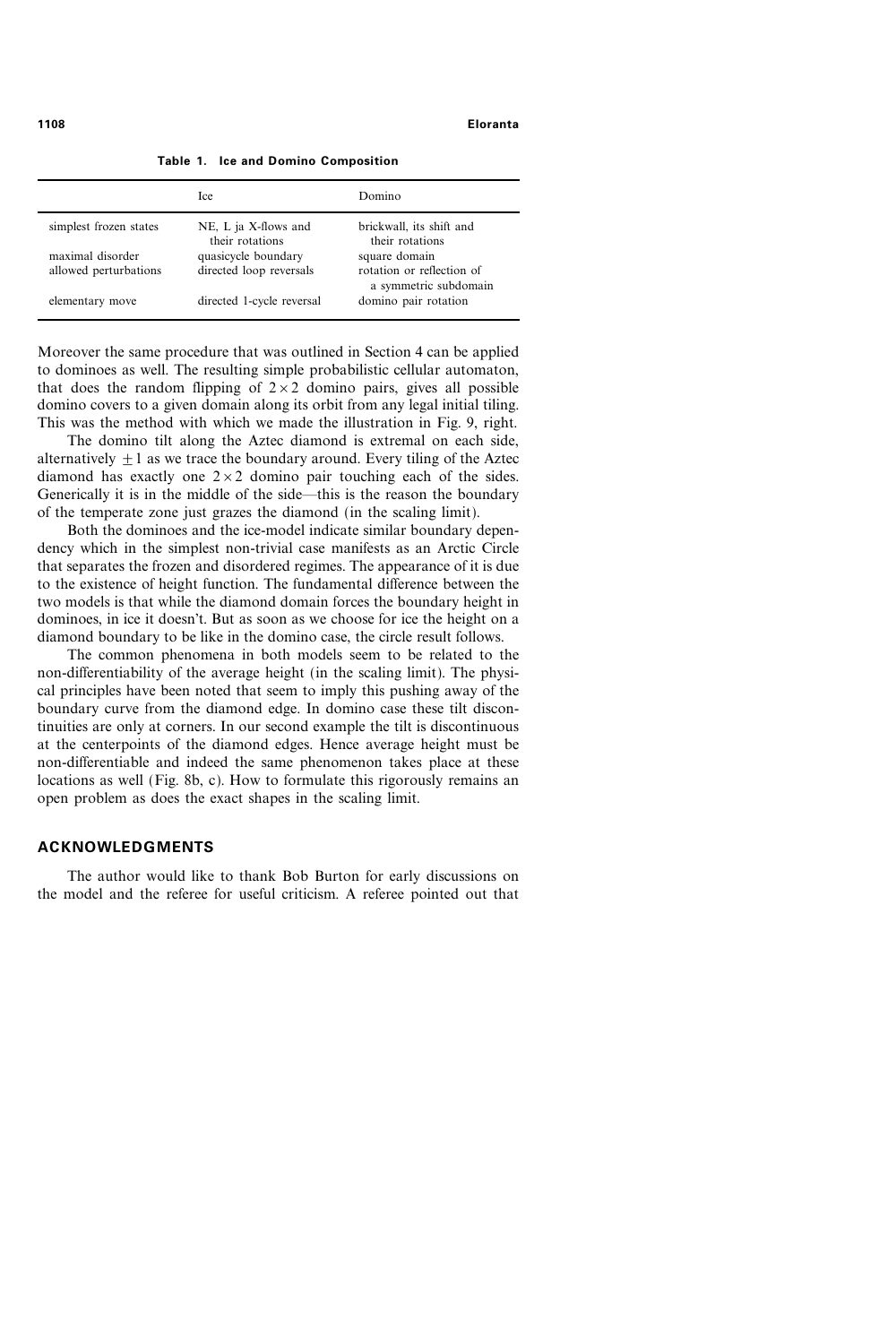|                        | <b>Ice</b>                              | Domino                                             |
|------------------------|-----------------------------------------|----------------------------------------------------|
| simplest frozen states | NE, L ja X-flows and<br>their rotations | brickwall, its shift and<br>their rotations        |
| maximal disorder       | quasicycle boundary                     | square domain                                      |
| allowed perturbations  | directed loop reversals                 | rotation or reflection of<br>a symmetric subdomain |
| elementary move        | directed 1-cycle reversal               | domino pair rotation                               |

Table 1. Ice and Domino Composition

Moreover the same procedure that was outlined in Section 4 can be applied to dominoes as well. The resulting simple probabilistic cellular automaton, that does the random flipping of  $2 \times 2$  domino pairs, gives all possible domino covers to a given domain along its orbit from any legal initial tiling. This was the method with which we made the illustration in Fig. 9, right.

The domino tilt along the Aztec diamond is extremal on each side, alternatively  $+1$  as we trace the boundary around. Every tiling of the Aztec diamond has exactly one  $2 \times 2$  domino pair touching each of the sides. Generically it is in the middle of the side—this is the reason the boundary of the temperate zone just grazes the diamond (in the scaling limit).

Both the dominoes and the ice-model indicate similar boundary dependency which in the simplest non-trivial case manifests as an Arctic Circle that separates the frozen and disordered regimes. The appearance of it is due to the existence of height function. The fundamental difference between the two models is that while the diamond domain forces the boundary height in dominoes, in ice it doesn't. But as soon as we choose for ice the height on a diamond boundary to be like in the domino case, the circle result follows.

The common phenomena in both models seem to be related to the non-differentiability of the average height (in the scaling limit). The physical principles have been noted that seem to imply this pushing away of the boundary curve from the diamond edge. In domino case these tilt discontinuities are only at corners. In our second example the tilt is discontinuous at the centerpoints of the diamond edges. Hence average height must be non-differentiable and indeed the same phenomenon takes place at these locations as well (Fig. 8b, c). How to formulate this rigorously remains an open problem as does the exact shapes in the scaling limit.

### ACKNOWLEDGMENTS

The author would like to thank Bob Burton for early discussions on the model and the referee for useful criticism. A referee pointed out that